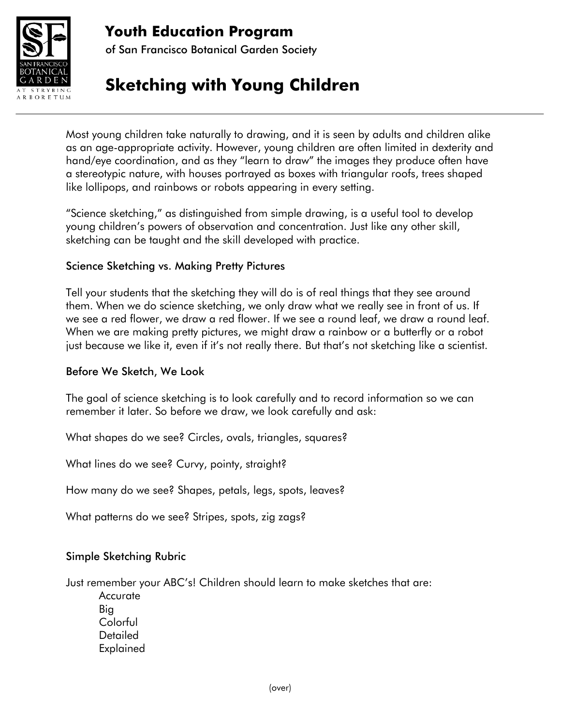

# **Youth Education Program**

of San Francisco Botanical Garden Society

# **Sketching with Young Children**

Most young children take naturally to drawing, and it is seen by adults and children alike as an age-appropriate activity. However, young children are often limited in dexterity and hand/eye coordination, and as they "learn to draw" the images they produce often have a stereotypic nature, with houses portrayed as boxes with triangular roofs, trees shaped like lollipops, and rainbows or robots appearing in every setting.

"Science sketching," as distinguished from simple drawing, is a useful tool to develop young children's powers of observation and concentration. Just like any other skill, sketching can be taught and the skill developed with practice.

## Science Sketching vs. Making Pretty Pictures

Tell your students that the sketching they will do is of real things that they see around them. When we do science sketching, we only draw what we really see in front of us. If we see a red flower, we draw a red flower. If we see a round leaf, we draw a round leaf. When we are making pretty pictures, we might draw a rainbow or a butterfly or a robot just because we like it, even if it's not really there. But that's not sketching like a scientist.

### Before We Sketch, We Look

The goal of science sketching is to look carefully and to record information so we can remember it later. So before we draw, we look carefully and ask:

What shapes do we see? Circles, ovals, triangles, squares?

What lines do we see? Curvy, pointy, straight?

How many do we see? Shapes, petals, legs, spots, leaves?

What patterns do we see? Stripes, spots, zig zags?

### Simple Sketching Rubric

Just remember your ABC's! Children should learn to make sketches that are:

**Accurate** Big Colorful **Detailed** Explained